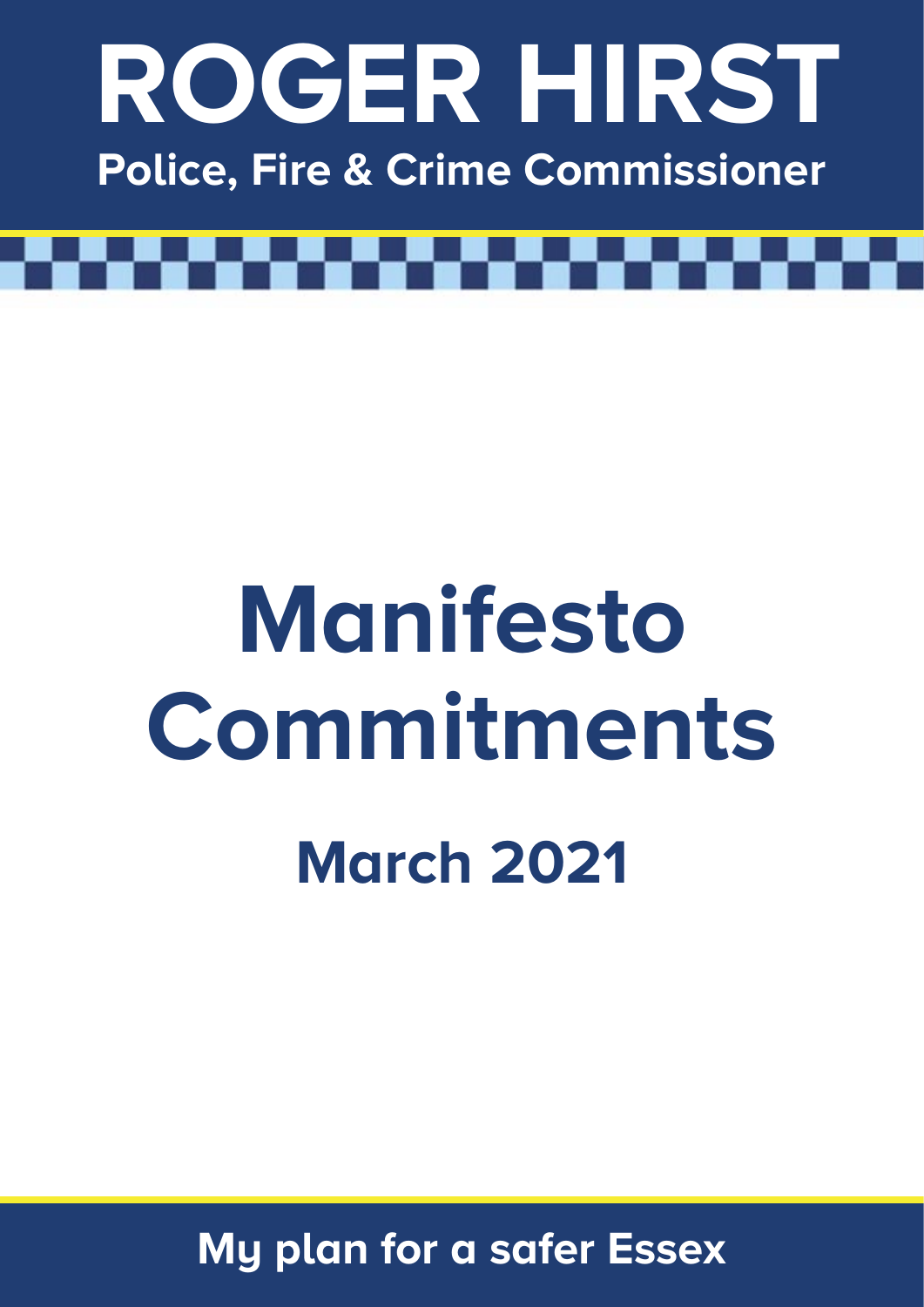

# Manifesto **Commitments March 2021**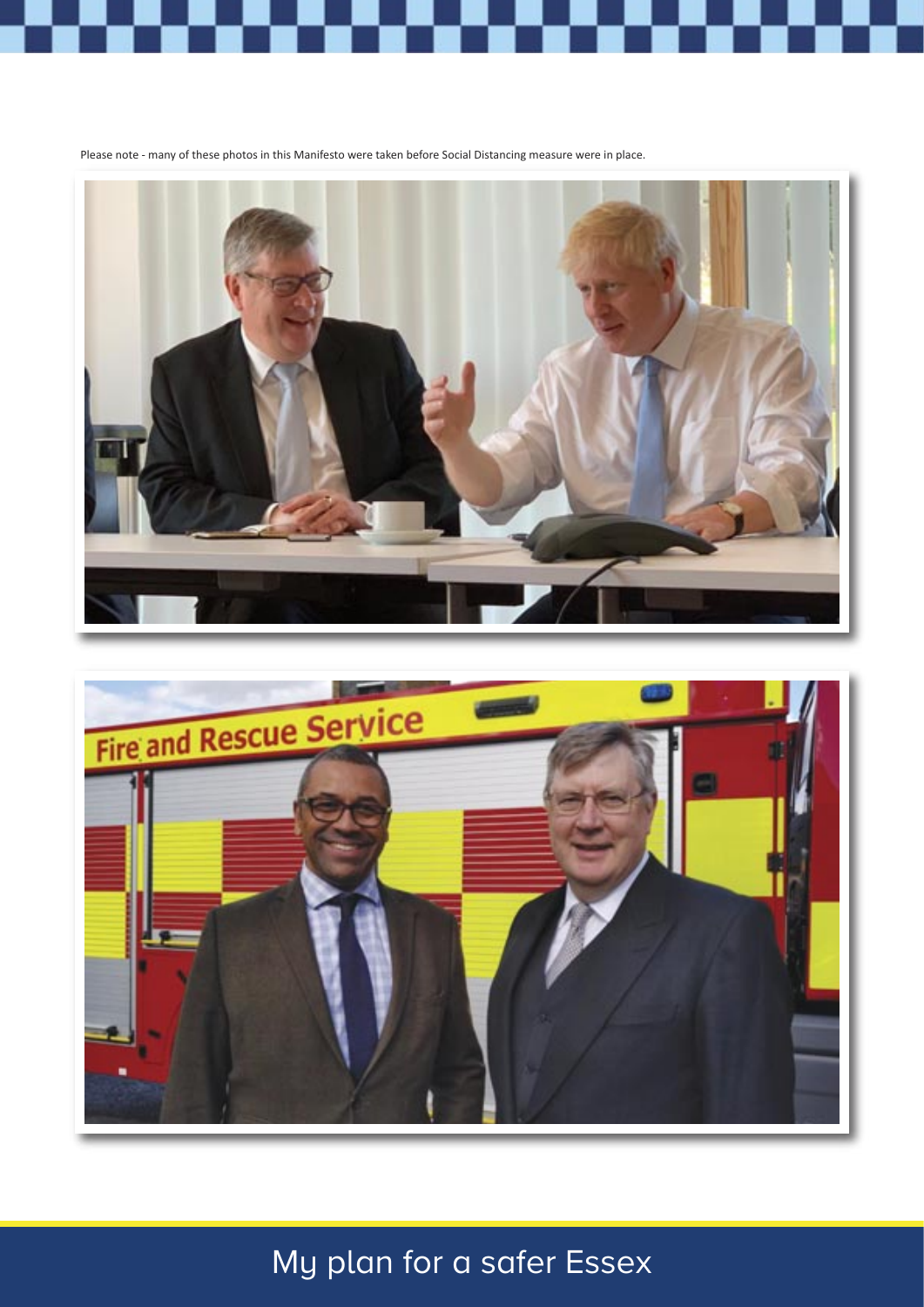



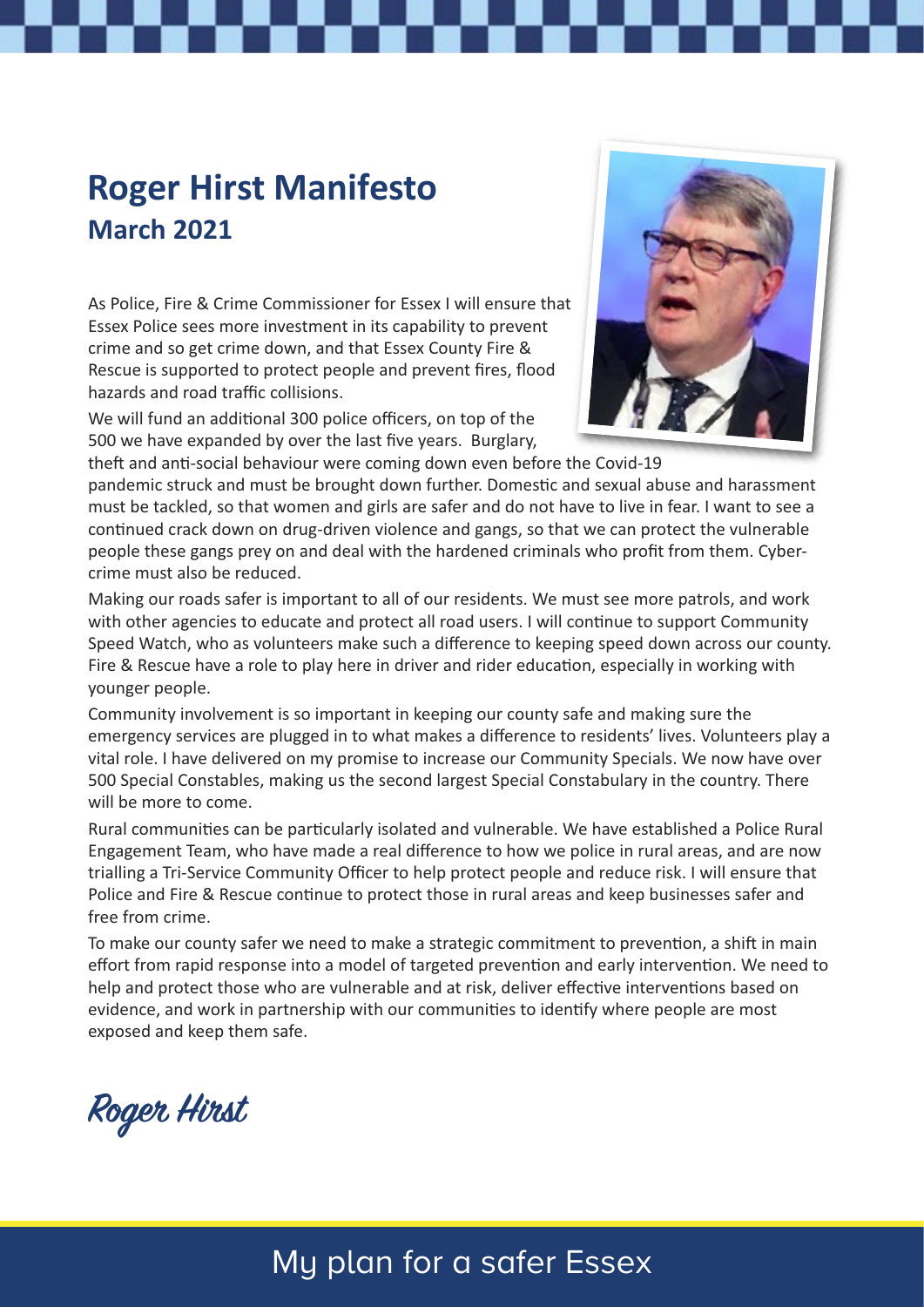## **Roger Hirst Manifesto March 2021**

As Police, Fire & Crime Commissioner for Essex I will ensure that Essex Police sees more investment in its capability to prevent crime and so get crime down, and that Essex County Fire & Rescue is supported to protect people and prevent fires, flood hazards and road traffic collisions.

We will fund an additional 300 police officers, on top of the 500 we have expanded by over the last five years. Burglary,



theft and anti-social behaviour were coming down even before the Covid-19 pandemic struck and must be brought down further. Domestic and sexual abuse and harassment must be tackled, so that women and girls are safer and do not have to live in fear. I want to see a continued crack down on drug-driven violence and gangs, so that we can protect the vulnerable people these gangs prey on and deal with the hardened criminals who profit from them. Cybercrime must also be reduced.

Making our roads safer is important to all of our residents. We must see more patrols, and work with other agencies to educate and protect all road users. I will continue to support Community Speed Watch, who as volunteers make such a difference to keeping speed down across our county. Fire & Rescue have a role to play here in driver and rider education, especially in working with younger people.

Community involvement is so important in keeping our county safe and making sure the emergency services are plugged in to what makes a difference to residents' lives. Volunteers play a vital role. I have delivered on my promise to increase our Community Specials. We now have over 500 Special Constables, making us the second largest Special Constabulary in the country. There will be more to come.

Rural communities can be particularly isolated and vulnerable. We have established a Police Rural Engagement Team, who have made a real difference to how we police in rural areas, and are now trialling a Tri-Service Community Officer to help protect people and reduce risk. I will ensure that Police and Fire & Rescue continue to protect those in rural areas and keep businesses safer and free from crime.

To make our county safer we need to make a strategic commitment to prevention, a shift in main effort from rapid response into a model of targeted prevention and early intervention. We need to help and protect those who are vulnerable and at risk, deliver effective interventions based on evidence, and work in partnership with our communities to identify where people are most exposed and keep them safe.

**Roger Hirst**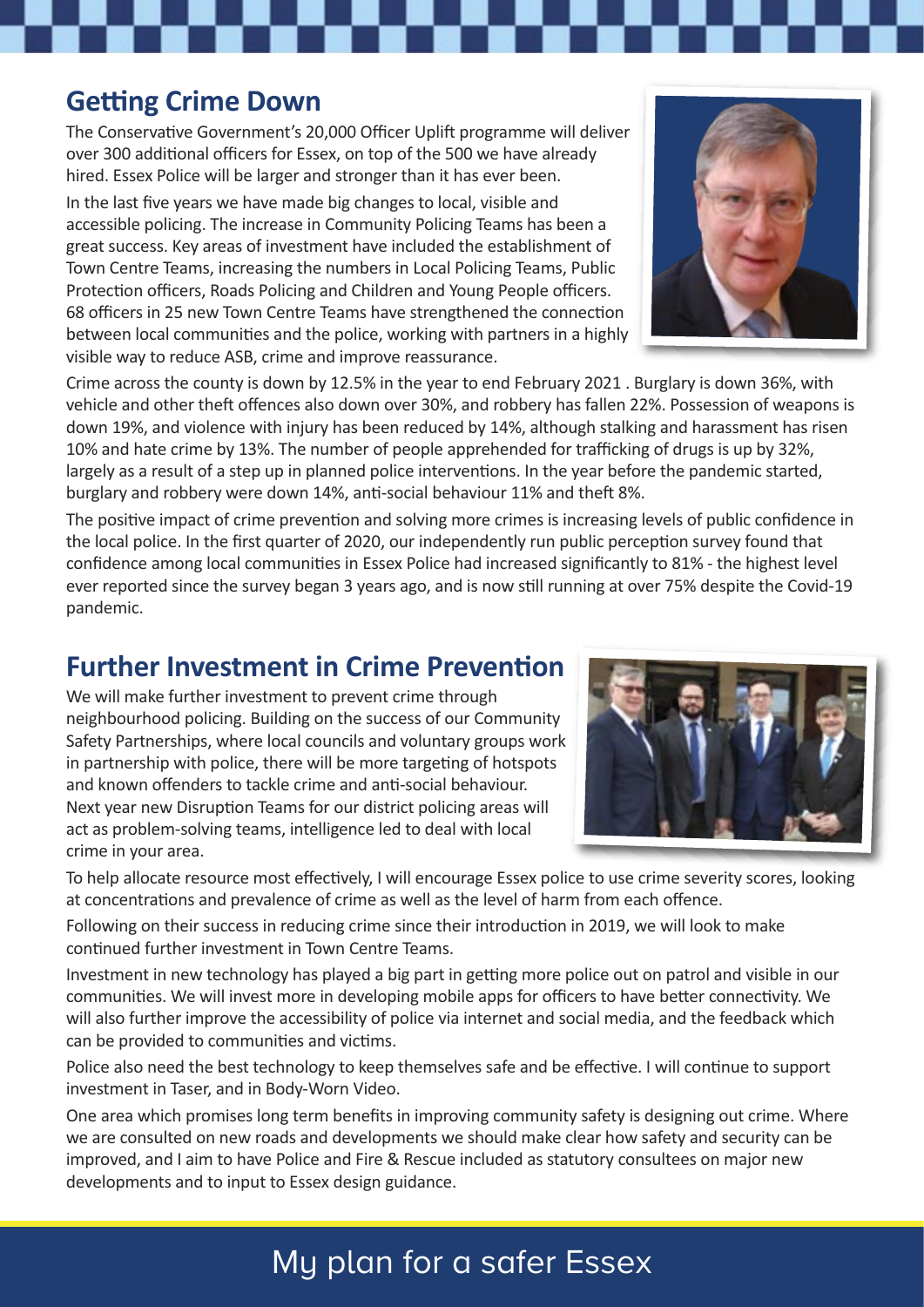#### **Getting Crime Down**

The Conservative Government's 20,000 Officer Uplift programme will deliver over 300 additional officers for Essex, on top of the 500 we have already hired. Essex Police will be larger and stronger than it has ever been.

In the last five years we have made big changes to local, visible and accessible policing. The increase in Community Policing Teams has been a great success. Key areas of investment have included the establishment of Town Centre Teams, increasing the numbers in Local Policing Teams, Public Protection officers, Roads Policing and Children and Young People officers. 68 officers in 25 new Town Centre Teams have strengthened the connection between local communities and the police, working with partners in a highly visible way to reduce ASB, crime and improve reassurance.

Crime across the county is down by 12.5% in the year to end February 2021 . Burglary is down 36%, with vehicle and other theft offences also down over 30%, and robbery has fallen 22%. Possession of weapons is down 19%, and violence with injury has been reduced by 14%, although stalking and harassment has risen 10% and hate crime by 13%. The number of people apprehended for trafficking of drugs is up by 32%, largely as a result of a step up in planned police interventions. In the year before the pandemic started, burglary and robbery were down 14%, antisocial behaviour 11% and theft 8%.

The positive impact of crime prevention and solving more crimes is increasing levels of public confidence in the local police. In the first quarter of 2020, our independently run public perception survey found that confidence among local communities in Essex Police had increased significantly to 81% - the highest level ever reported since the survey began 3 years ago, and is now still running at over 75% despite the Covid-19 pandemic.

#### **Further Investment in Crime Prevention**

We will make further investment to prevent crime through neighbourhood policing. Building on the success of our Community Safety Partnerships, where local councils and voluntary groups work in partnership with police, there will be more targeting of hotspots and known offenders to tackle crime and anti-social behaviour. Next year new Disruption Teams for our district policing areas will act as problem-solving teams, intelligence led to deal with local crime in your area.

To help allocate resource most effectively, I will encourage Essex police to use crime severity scores, looking at concentrations and prevalence of crime as well as the level of harm from each offence.

Following on their success in reducing crime since their introduction in 2019, we will look to make continued further investment in Town Centre Teams.

Investment in new technology has played a big part in getting more police out on patrol and visible in our communities. We will invest more in developing mobile apps for officers to have better connectivity. We will also further improve the accessibility of police via internet and social media, and the feedback which can be provided to communities and victims.

Police also need the best technology to keep themselves safe and be effective. I will continue to support investment in Taser, and in Body-Worn Video.

One area which promises long term benefits in improving community safety is designing out crime. Where we are consulted on new roads and developments we should make clear how safety and security can be improved, and I aim to have Police and Fire & Rescue included as statutory consultees on major new developments and to input to Essex design guidance.



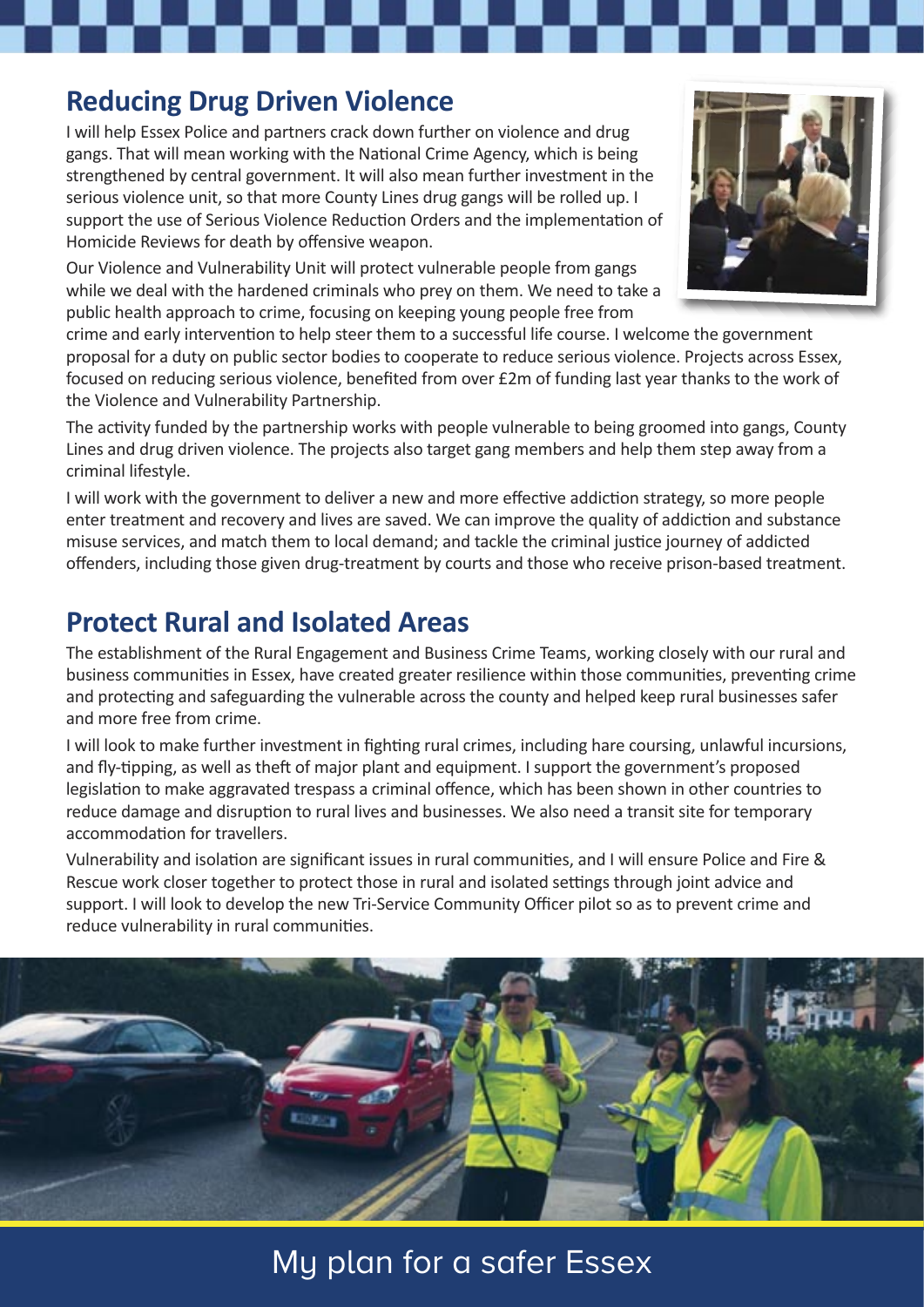#### **Reducing Drug Driven Violence**

I will help Essex Police and partners crack down further on violence and drug gangs. That will mean working with the National Crime Agency, which is being strengthened by central government. It will also mean further investment in the serious violence unit, so that more County Lines drug gangs will be rolled up. I support the use of Serious Violence Reduction Orders and the implementation of Homicide Reviews for death by offensive weapon.

Our Violence and Vulnerability Unit will protect vulnerable people from gangs while we deal with the hardened criminals who prey on them. We need to take a public health approach to crime, focusing on keeping young people free from



The activity funded by the partnership works with people vulnerable to being groomed into gangs, County Lines and drug driven violence. The projects also target gang members and help them step away from a criminal lifestyle.

I will work with the government to deliver a new and more effective addiction strategy, so more people enter treatment and recovery and lives are saved. We can improve the quality of addiction and substance misuse services, and match them to local demand; and tackle the criminal justice journey of addicted offenders, including those given drug-treatment by courts and those who receive prison-based treatment.

#### **Protect Rural and Isolated Areas**

The establishment of the Rural Engagement and Business Crime Teams, working closely with our rural and business communities in Essex, have created greater resilience within those communities, preventing crime and protecting and safeguarding the vulnerable across the county and helped keep rural businesses safer and more free from crime.

I will look to make further investment in fighting rural crimes, including hare coursing, unlawful incursions, and fly-tipping, as well as theft of major plant and equipment. I support the government's proposed legislation to make aggravated trespass a criminal offence, which has been shown in other countries to reduce damage and disruption to rural lives and businesses. We also need a transit site for temporary accommodation for travellers.

Vulnerability and isolation are significant issues in rural communities, and I will ensure Police and Fire & Rescue work closer together to protect those in rural and isolated settings through joint advice and support. I will look to develop the new Tri-Service Community Officer pilot so as to prevent crime and reduce vulnerability in rural communities.



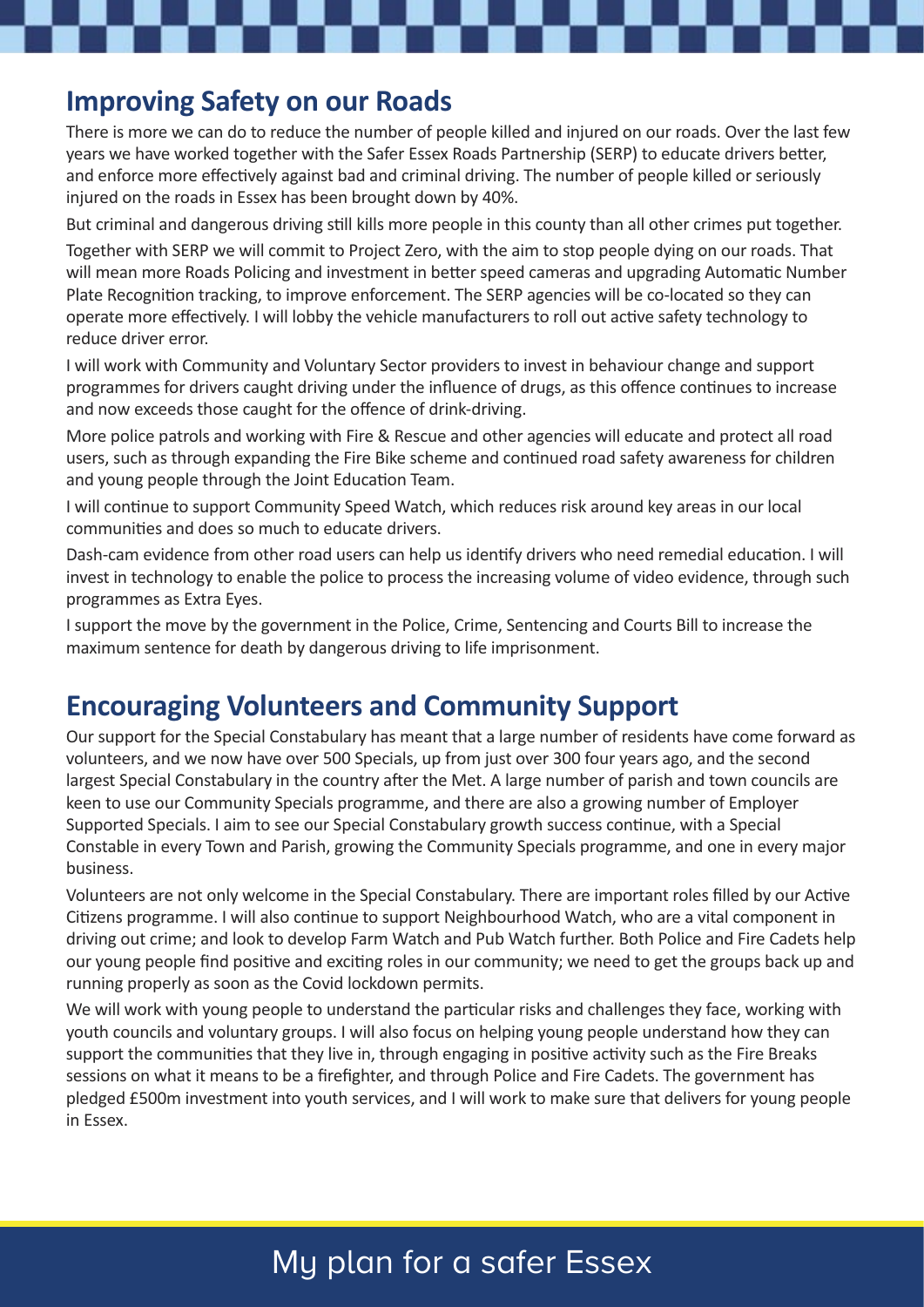#### **Improving Safety on our Roads**

There is more we can do to reduce the number of people killed and injured on our roads. Over the last few years we have worked together with the Safer Essex Roads Partnership (SERP) to educate drivers better, and enforce more effectively against bad and criminal driving. The number of people killed or seriously injured on the roads in Essex has been brought down by 40%.

But criminal and dangerous driving still kills more people in this county than all other crimes put together.

Together with SERP we will commit to Project Zero, with the aim to stop people dying on our roads. That will mean more Roads Policing and investment in better speed cameras and upgrading Automatic Number Plate Recognition tracking, to improve enforcement. The SERP agencies will be co-located so they can operate more effectively. I will lobby the vehicle manufacturers to roll out active safety technology to reduce driver error.

I will work with Community and Voluntary Sector providers to invest in behaviour change and support programmes for drivers caught driving under the influence of drugs, as this offence continues to increase and now exceeds those caught for the offence of drink-driving.

More police patrols and working with Fire & Rescue and other agencies will educate and protect all road users, such as through expanding the Fire Bike scheme and continued road safety awareness for children and young people through the Joint Education Team.

I will continue to support Community Speed Watch, which reduces risk around key areas in our local communities and does so much to educate drivers.

Dash-cam evidence from other road users can help us identify drivers who need remedial education. I will invest in technology to enable the police to process the increasing volume of video evidence, through such programmes as Extra Eyes.

I support the move by the government in the Police, Crime, Sentencing and Courts Bill to increase the maximum sentence for death by dangerous driving to life imprisonment.

#### **Encouraging Volunteers and Community Support**

Our support for the Special Constabulary has meant that a large number of residents have come forward as volunteers, and we now have over 500 Specials, up from just over 300 four years ago, and the second largest Special Constabulary in the country after the Met. A large number of parish and town councils are keen to use our Community Specials programme, and there are also a growing number of Employer Supported Specials. I aim to see our Special Constabulary growth success continue, with a Special Constable in every Town and Parish, growing the Community Specials programme, and one in every major business.

Volunteers are not only welcome in the Special Constabulary. There are important roles filled by our Active Citizens programme. I will also continue to support Neighbourhood Watch, who are a vital component in driving out crime; and look to develop Farm Watch and Pub Watch further. Both Police and Fire Cadets help our young people find positive and exciting roles in our community; we need to get the groups back up and running properly as soon as the Covid lockdown permits.

We will work with young people to understand the particular risks and challenges they face, working with youth councils and voluntary groups. I will also focus on helping young people understand how they can support the communities that they live in, through engaging in positive activity such as the Fire Breaks sessions on what it means to be a firefighter, and through Police and Fire Cadets. The government has pledged £500m investment into youth services, and I will work to make sure that delivers for young people in Essex.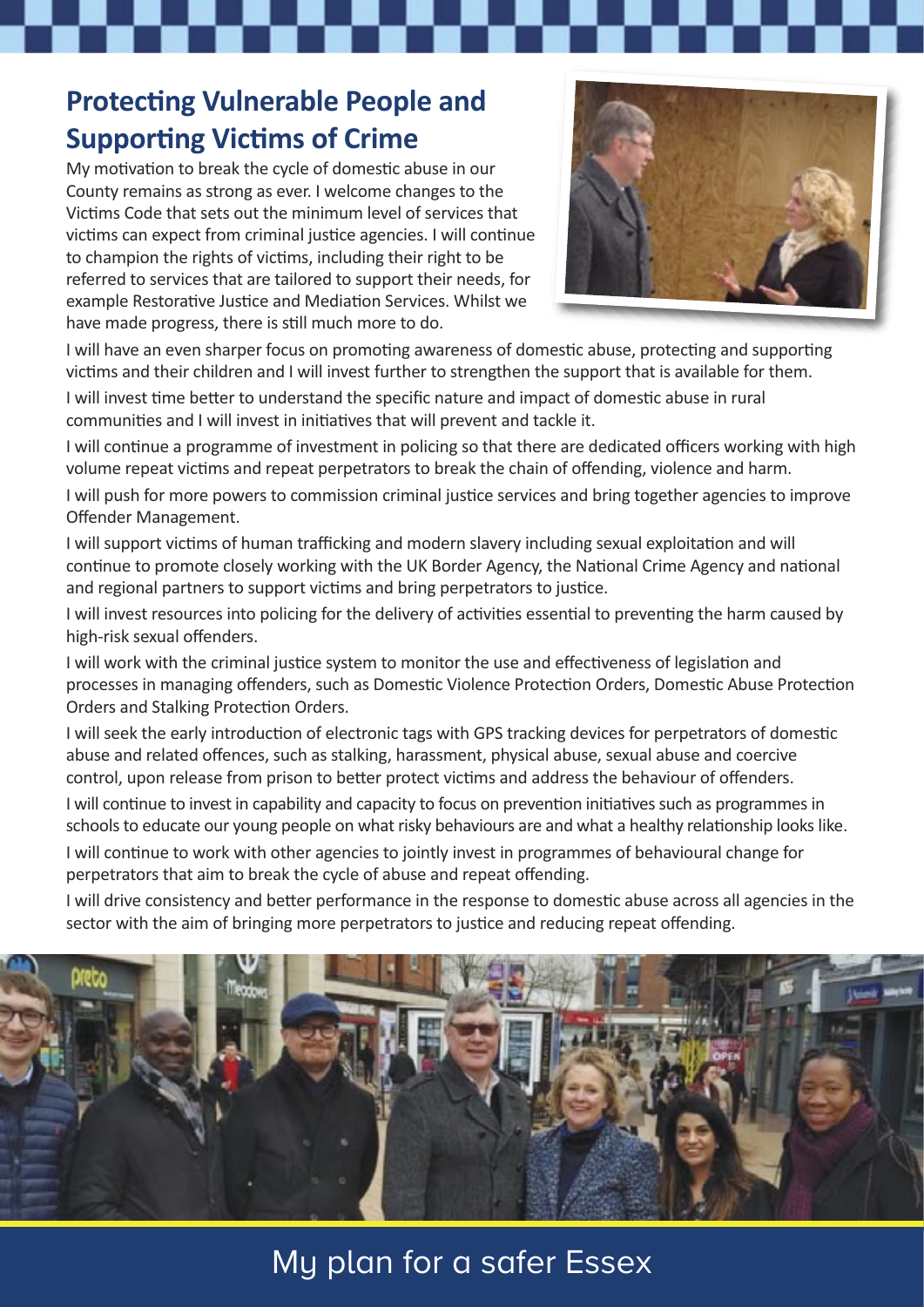### **Protecting Vulnerable People and Supporting Victims of Crime**

My motivation to break the cycle of domestic abuse in our County remains as strong as ever. I welcome changes to the Victims Code that sets out the minimum level of services that victims can expect from criminal justice agencies. I will continue to champion the rights of victims, including their right to be referred to services that are tailored to support their needs, for example Restorative Justice and Mediation Services. Whilst we have made progress, there is still much more to do.



I will have an even sharper focus on promoting awareness of domestic abuse, protecting and supporting victims and their children and I will invest further to strengthen the support that is available for them.

I will invest time better to understand the specific nature and impact of domestic abuse in rural communities and I will invest in initiatives that will prevent and tackle it.

I will continue a programme of investment in policing so that there are dedicated officers working with high volume repeat victims and repeat perpetrators to break the chain of offending, violence and harm.

I will push for more powers to commission criminal justice services and bring together agencies to improve Offender Management.

I will support victims of human trafficking and modern slavery including sexual exploitation and will continue to promote closely working with the UK Border Agency, the National Crime Agency and national and regional partners to support victims and bring perpetrators to justice.

I will invest resources into policing for the delivery of activities essential to preventing the harm caused by high-risk sexual offenders.

I will work with the criminal justice system to monitor the use and effectiveness of legislation and processes in managing offenders, such as Domestic Violence Protection Orders, Domestic Abuse Protection Orders and Stalking Protection Orders.

I will seek the early introduction of electronic tags with GPS tracking devices for perpetrators of domestic abuse and related offences, such as stalking, harassment, physical abuse, sexual abuse and coercive control, upon release from prison to better protect victims and address the behaviour of offenders.

I will continue to invest in capability and capacity to focus on prevention initiatives such as programmes in schools to educate our young people on what risky behaviours are and what a healthy relationship looks like. I will continue to work with other agencies to jointly invest in programmes of behavioural change for perpetrators that aim to break the cycle of abuse and repeat offending.

I will drive consistency and better performance in the response to domestic abuse across all agencies in the sector with the aim of bringing more perpetrators to justice and reducing repeat offending.

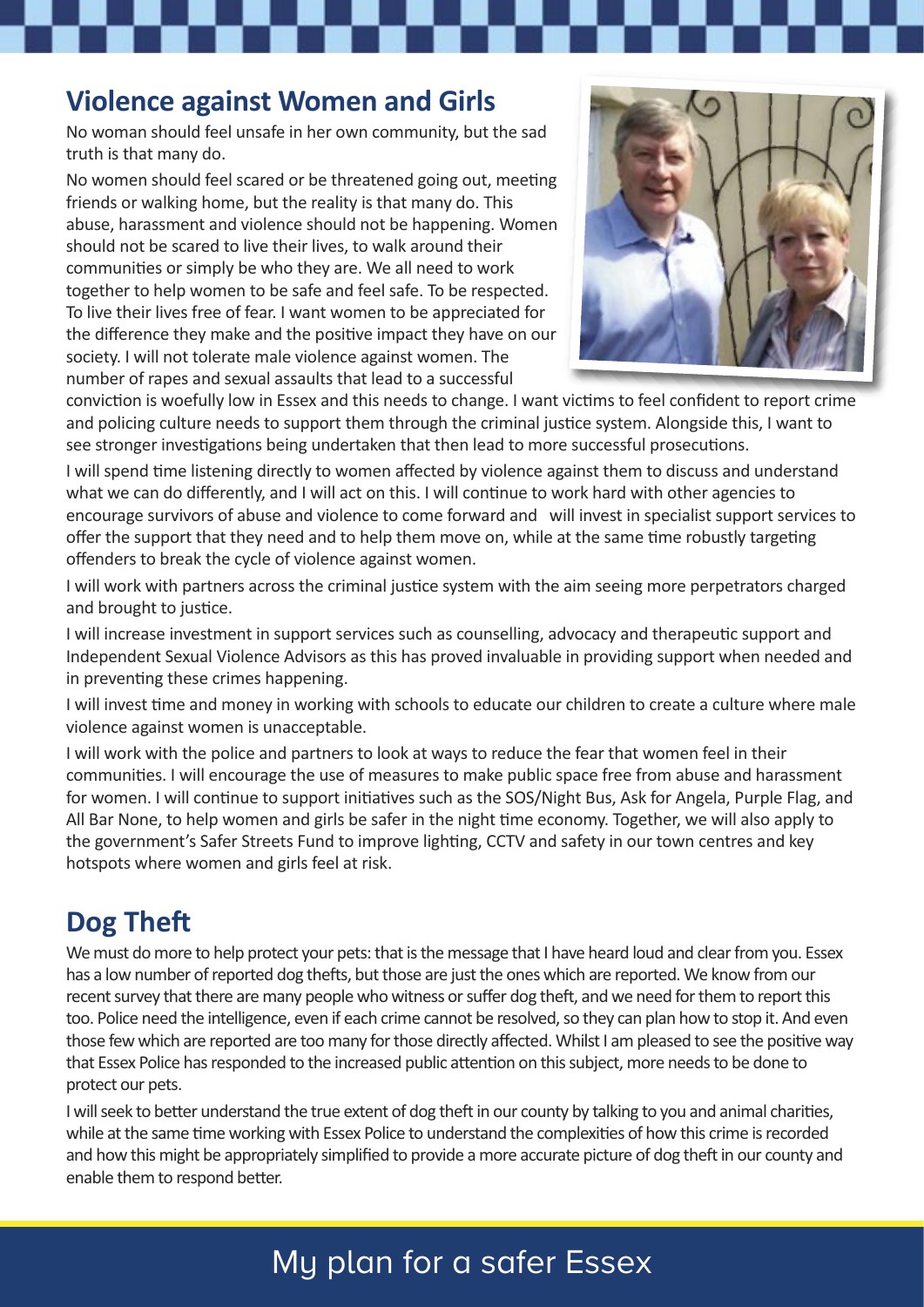#### **Violence against Women and Girls**

No woman should feel unsafe in her own community, but the sad truth is that many do.

No women should feel scared or be threatened going out, meeting friends or walking home, but the reality is that many do. This abuse, harassment and violence should not be happening. Women should not be scared to live their lives, to walk around their communities or simply be who they are. We all need to work together to help women to be safe and feel safe. To be respected. To live their lives free of fear. I want women to be appreciated for the difference they make and the positive impact they have on our society. I will not tolerate male violence against women. The number of rapes and sexual assaults that lead to a successful



conviction is woefully low in Essex and this needs to change. I want victims to feel confident to report crime and policing culture needs to support them through the criminal justice system. Alongside this, I want to see stronger investigations being undertaken that then lead to more successful prosecutions.

I will spend time listening directly to women affected by violence against them to discuss and understand what we can do differently, and I will act on this. I will continue to work hard with other agencies to encourage survivors of abuse and violence to come forward and will invest in specialist support services to offer the support that they need and to help them move on, while at the same time robustly targeting offenders to break the cycle of violence against women.

I will work with partners across the criminal justice system with the aim seeing more perpetrators charged and brought to justice.

I will increase investment in support services such as counselling, advocacy and therapeutic support and Independent Sexual Violence Advisors as this has proved invaluable in providing support when needed and in preventing these crimes happening.

I will invest time and money in working with schools to educate our children to create a culture where male violence against women is unacceptable.

I will work with the police and partners to look at ways to reduce the fear that women feel in their communities. I will encourage the use of measures to make public space free from abuse and harassment for women. I will continue to support initiatives such as the SOS/Night Bus, Ask for Angela, Purple Flag, and All Bar None, to help women and girls be safer in the night time economy. Together, we will also apply to the government's Safer Streets Fund to improve lighting, CCTV and safety in our town centres and key hotspots where women and girls feel at risk.

## **Dog Theft**

We must do more to help protect your pets: that is the message that I have heard loud and clear from you. Essex has a low number of reported dog thefts, but those are just the ones which are reported. We know from our recent survey that there are many people who witness or suffer dog theft, and we need for them to report this too. Police need the intelligence, even if each crime cannot be resolved, so they can plan how to stop it. And even those few which are reported are too many for those directly affected. Whilst I am pleased to see the positive way that Essex Police has responded to the increased public attention on this subject, more needs to be done to protect our pets.

I will seek to better understand the true extent of dog theft in our county by talking to you and animal charities, while at the same time working with Essex Police to understand the complexities of how this crime is recorded and how this might be appropriately simplified to provide a more accurate picture of dog theft in our county and enable them to respond better.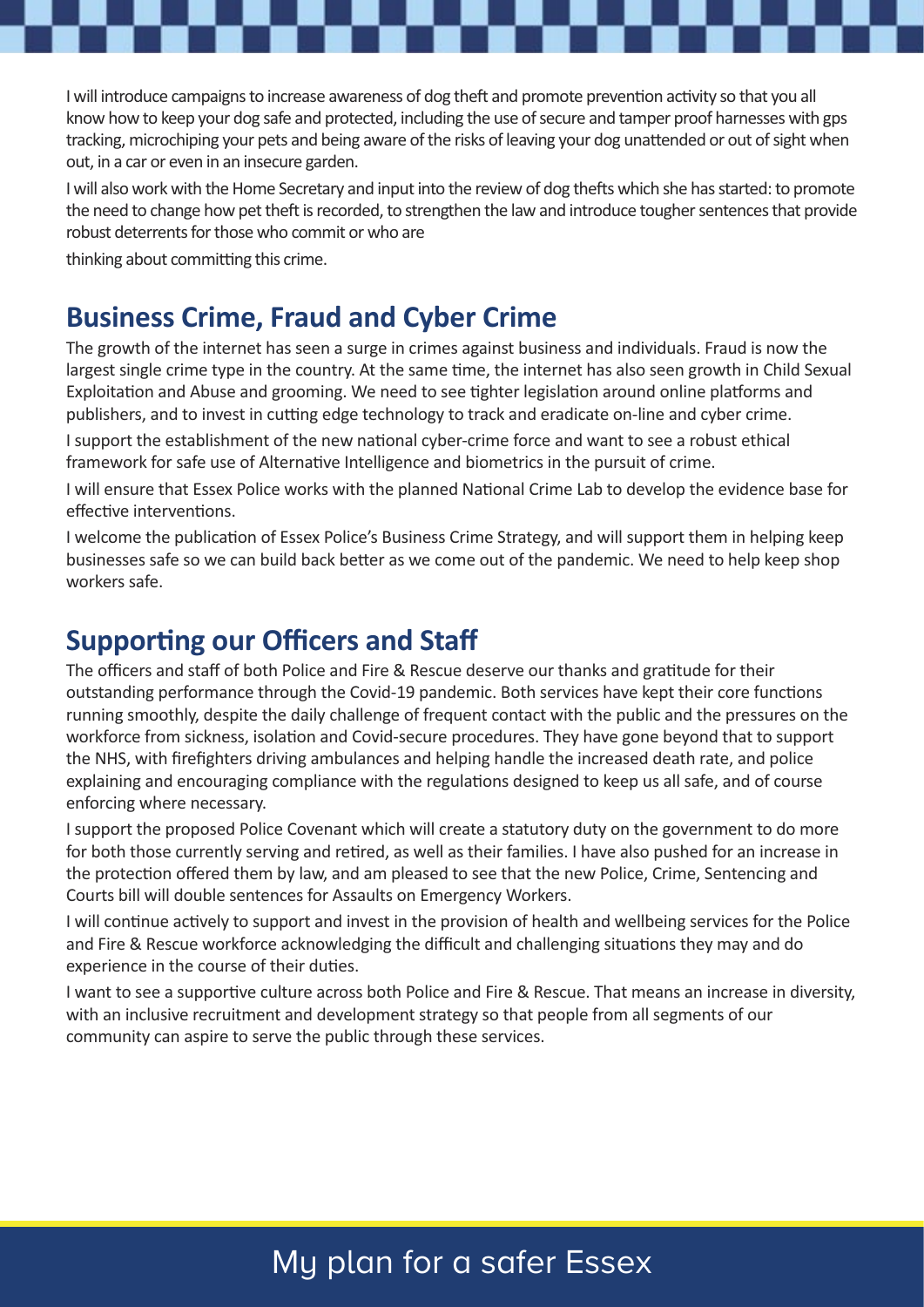I will introduce campaigns to increase awareness of dog theft and promote prevention activity so that you all know how to keep your dog safe and protected, including the use of secure and tamper proof harnesses with gps tracking, microchiping your pets and being aware of the risks of leaving your dog unattended or out of sight when out, in a car or even in an insecure garden.

I will also work with the Home Secretary and input into the review of dog thefts which she has started: to promote the need to change how pet theft is recorded, to strengthen the law and introduce tougher sentences that provide robust deterrents for those who commit or who are

thinking about committing this crime.

#### **Business Crime, Fraud and Cyber Crime**

The growth of the internet has seen a surge in crimes against business and individuals. Fraud is now the largest single crime type in the country. At the same time, the internet has also seen growth in Child Sexual Exploitation and Abuse and grooming. We need to see tighter legislation around online platforms and publishers, and to invest in cutting edge technology to track and eradicate on-line and cyber crime.

I support the establishment of the new national cyber-crime force and want to see a robust ethical framework for safe use of Alternative Intelligence and biometrics in the pursuit of crime.

I will ensure that Essex Police works with the planned National Crime Lab to develop the evidence base for effective interventions.

I welcome the publication of Essex Police's Business Crime Strategy, and will support them in helping keep businesses safe so we can build back better as we come out of the pandemic. We need to help keep shop workers safe.

#### **Supporting our Officers and Staff**

The officers and staff of both Police and Fire & Rescue deserve our thanks and gratitude for their outstanding performance through the Covid-19 pandemic. Both services have kept their core functions running smoothly, despite the daily challenge of frequent contact with the public and the pressures on the workforce from sickness, isolation and Covid-secure procedures. They have gone beyond that to support the NHS, with firefighters driving ambulances and helping handle the increased death rate, and police explaining and encouraging compliance with the regulations designed to keep us all safe, and of course enforcing where necessary.

I support the proposed Police Covenant which will create a statutory duty on the government to do more for both those currently serving and retired, as well as their families. I have also pushed for an increase in the protection offered them by law, and am pleased to see that the new Police, Crime, Sentencing and Courts bill will double sentences for Assaults on Emergency Workers.

I will continue actively to support and invest in the provision of health and wellbeing services for the Police and Fire & Rescue workforce acknowledging the difficult and challenging situations they may and do experience in the course of their duties.

I want to see a supportive culture across both Police and Fire & Rescue. That means an increase in diversity, with an inclusive recruitment and development strategy so that people from all segments of our community can aspire to serve the public through these services.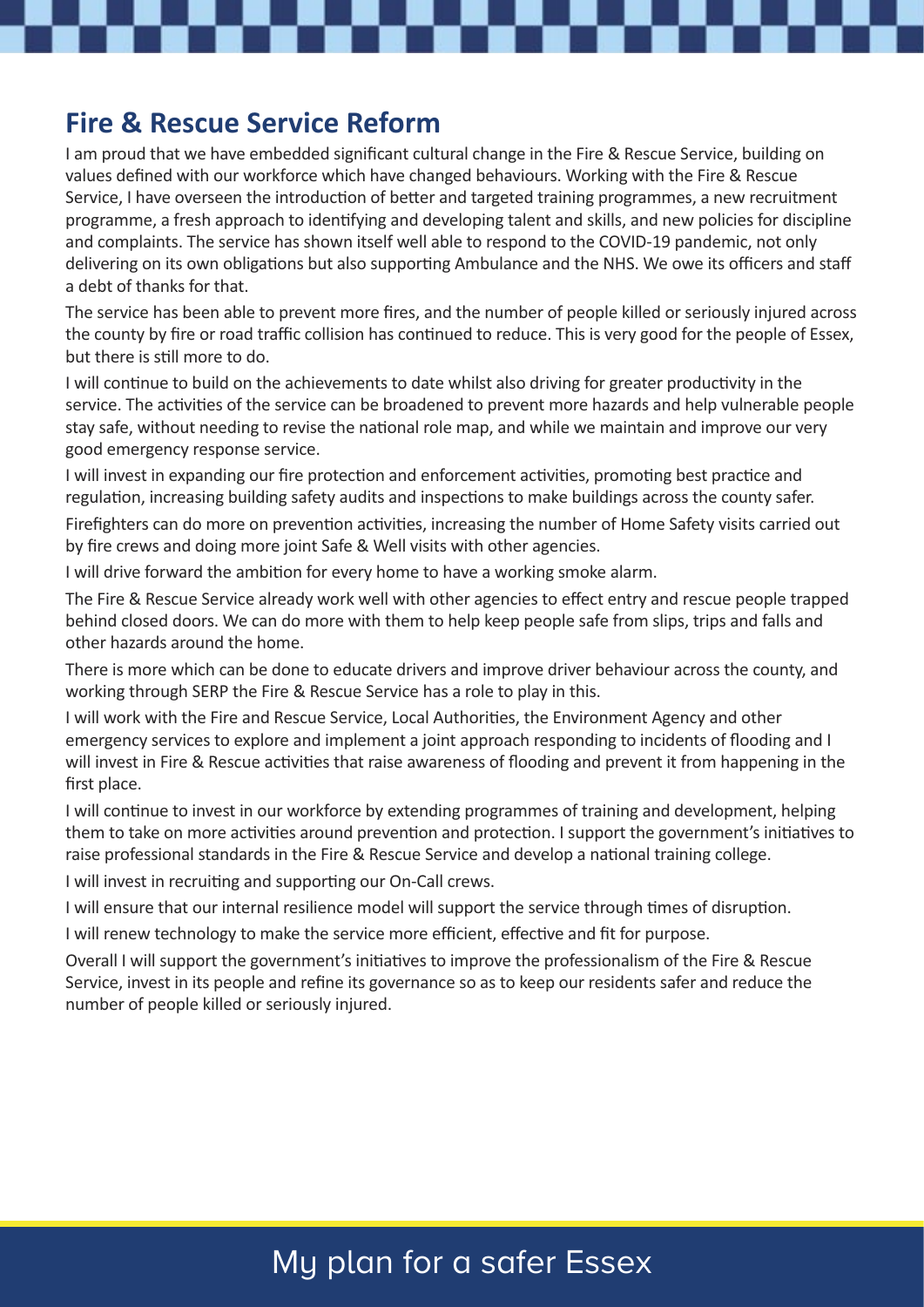#### **Fire & Rescue Service Reform**

I am proud that we have embedded significant cultural change in the Fire & Rescue Service, building on values defined with our workforce which have changed behaviours. Working with the Fire & Rescue Service, I have overseen the introduction of better and targeted training programmes, a new recruitment programme, a fresh approach to identifying and developing talent and skills, and new policies for discipline and complaints. The service has shown itself well able to respond to the COVID-19 pandemic, not only delivering on its own obligations but also supporting Ambulance and the NHS. We owe its officers and staff a debt of thanks for that.

The service has been able to prevent more fires, and the number of people killed or seriously injured across the county by fire or road traffic collision has continued to reduce. This is very good for the people of Essex, but there is still more to do.

I will continue to build on the achievements to date whilst also driving for greater productivity in the service. The activities of the service can be broadened to prevent more hazards and help vulnerable people stay safe, without needing to revise the national role map, and while we maintain and improve our very good emergency response service.

I will invest in expanding our fire protection and enforcement activities, promoting best practice and regulation, increasing building safety audits and inspections to make buildings across the county safer.

Firefighters can do more on prevention activities, increasing the number of Home Safety visits carried out by fire crews and doing more joint Safe & Well visits with other agencies.

I will drive forward the ambition for every home to have a working smoke alarm.

The Fire & Rescue Service already work well with other agencies to effect entry and rescue people trapped behind closed doors. We can do more with them to help keep people safe from slips, trips and falls and other hazards around the home.

There is more which can be done to educate drivers and improve driver behaviour across the county, and working through SERP the Fire & Rescue Service has a role to play in this.

I will work with the Fire and Rescue Service, Local Authorities, the Environment Agency and other emergency services to explore and implement a joint approach responding to incidents of flooding and I will invest in Fire & Rescue activities that raise awareness of flooding and prevent it from happening in the first place.

I will continue to invest in our workforce by extending programmes of training and development, helping them to take on more activities around prevention and protection. I support the government's initiatives to raise professional standards in the Fire & Rescue Service and develop a national training college.

I will invest in recruiting and supporting our On-Call crews.

I will ensure that our internal resilience model will support the service through times of disruption.

I will renew technology to make the service more efficient, effective and fit for purpose.

Overall I will support the government's initiatives to improve the professionalism of the Fire & Rescue Service, invest in its people and refine its governance so as to keep our residents safer and reduce the number of people killed or seriously injured.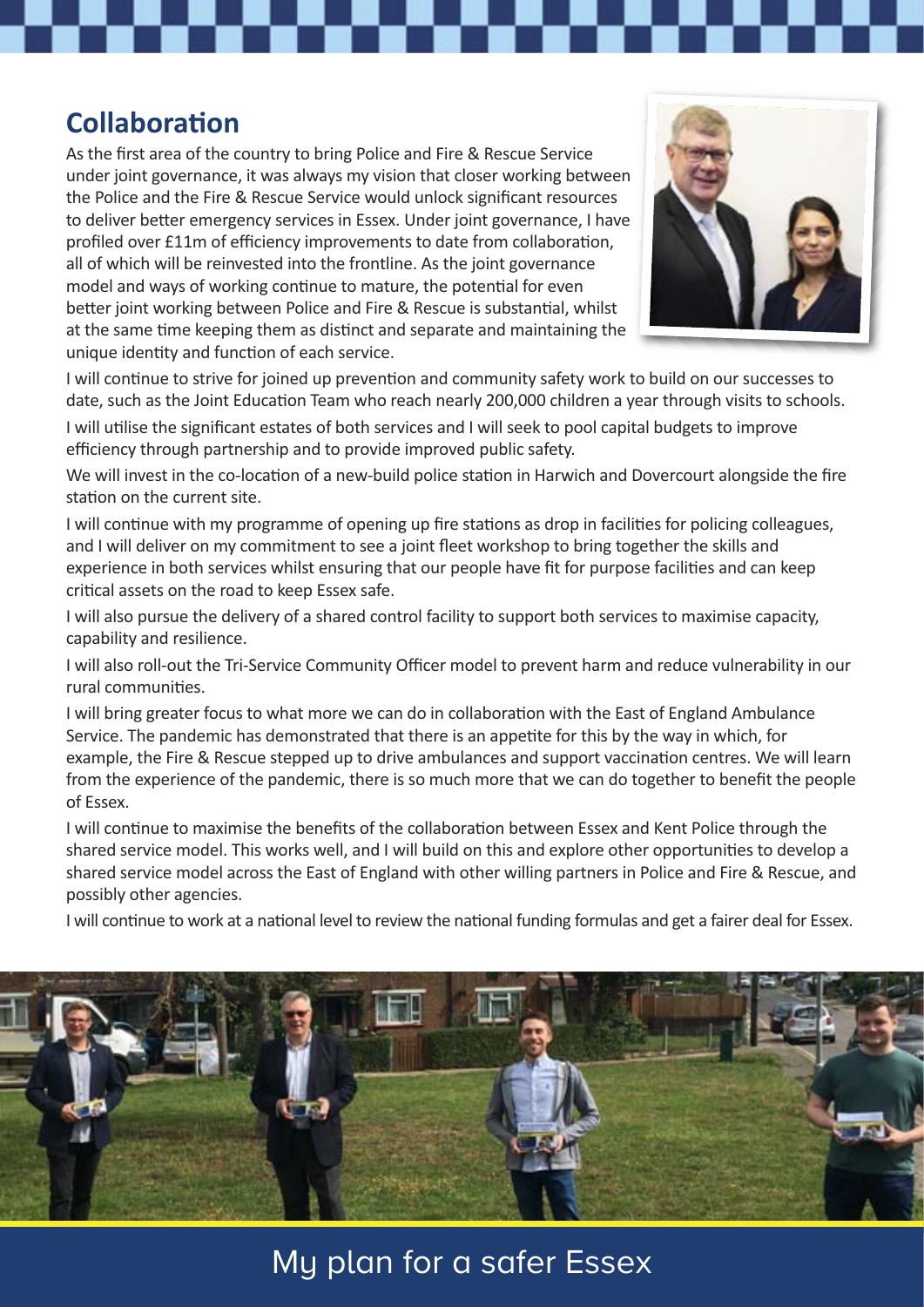#### **Collaboration**

As the first area of the country to bring Police and Fire & Rescue Service under joint governance, it was always my vision that closer working between the Police and the Fire & Rescue Service would unlock significant resources to deliver better emergency services in Essex. Under joint governance, I have profiled over £11m of efficiency improvements to date from collaboration, all of which will be reinvested into the frontline. As the joint governance model and ways of working continue to mature, the potential for even better joint working between Police and Fire & Rescue is substantial, whilst at the same time keeping them as distinct and separate and maintaining the unique identity and function of each service.



I will continue to strive for joined up prevention and community safety work to build on our successes to date, such as the Joint Education Team who reach nearly 200,000 children a year through visits to schools.

I will utilise the significant estates of both services and I will seek to pool capital budgets to improve efficiency through partnership and to provide improved public safety.

We will invest in the co-location of a new-build police station in Harwich and Dovercourt alongside the fire station on the current site.

I will continue with my programme of opening up fire stations as drop in facilities for policing colleagues, and I will deliver on my commitment to see a joint fleet workshop to bring together the skills and experience in both services whilst ensuring that our people have fit for purpose facilities and can keep critical assets on the road to keep Essex safe.

I will also pursue the delivery of a shared control facility to support both services to maximise capacity, capability and resilience.

I will also roll-out the Tri-Service Community Officer model to prevent harm and reduce vulnerability in our rural communities.

I will bring greater focus to what more we can do in collaboration with the East of England Ambulance Service. The pandemic has demonstrated that there is an appetite for this by the way in which, for example, the Fire & Rescue stepped up to drive ambulances and support vaccination centres. We will learn from the experience of the pandemic, there is so much more that we can do together to benefit the people of Essex.

I will continue to maximise the benefits of the collaboration between Essex and Kent Police through the shared service model. This works well, and I will build on this and explore other opportunities to develop a shared service model across the East of England with other willing partners in Police and Fire & Rescue, and possibly other agencies.

I will continue to work at a national level to review the national funding formulas and get a fairer deal for Essex.